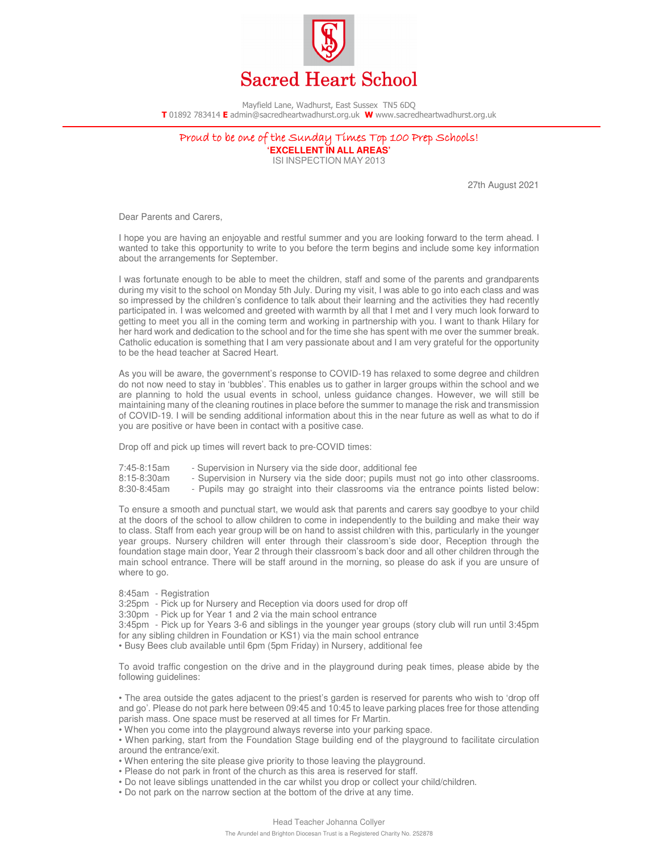

Mayfield Lane, Wadhurst, East Sussex TN5 6DQ **T** 01892 783414 **E** admin@sacredheartwadhurst.org.uk **W** www.sacredheartwadhurst.org.uk

## Proud to be one of the Sunday Times Top 100 Prep Schools! **'EXCELLENT IN ALL AREAS'**

ISI INSPECTION MAY 2013

27th August 2021

Dear Parents and Carers,

I hope you are having an enjoyable and restful summer and you are looking forward to the term ahead. I wanted to take this opportunity to write to you before the term begins and include some key information about the arrangements for September.

I was fortunate enough to be able to meet the children, staff and some of the parents and grandparents during my visit to the school on Monday 5th July. During my visit, I was able to go into each class and was so impressed by the children's confidence to talk about their learning and the activities they had recently participated in. I was welcomed and greeted with warmth by all that I met and I very much look forward to getting to meet you all in the coming term and working in partnership with you. I want to thank Hilary for her hard work and dedication to the school and for the time she has spent with me over the summer break. Catholic education is something that I am very passionate about and I am very grateful for the opportunity to be the head teacher at Sacred Heart.

As you will be aware, the government's response to COVID-19 has relaxed to some degree and children do not now need to stay in 'bubbles'. This enables us to gather in larger groups within the school and we are planning to hold the usual events in school, unless guidance changes. However, we will still be maintaining many of the cleaning routines in place before the summer to manage the risk and transmission of COVID-19. I will be sending additional information about this in the near future as well as what to do if you are positive or have been in contact with a positive case.

Drop off and pick up times will revert back to pre-COVID times:

7:45-8:15am - Supervision in Nursery via the side door, additional fee

- Supervision in Nursery via the side door; pupils must not go into other classrooms.

8:30-8:45am - Pupils may go straight into their classrooms via the entrance points listed below:

To ensure a smooth and punctual start, we would ask that parents and carers say goodbye to your child at the doors of the school to allow children to come in independently to the building and make their way to class. Staff from each year group will be on hand to assist children with this, particularly in the younger year groups. Nursery children will enter through their classroom's side door, Reception through the foundation stage main door, Year 2 through their classroom's back door and all other children through the main school entrance. There will be staff around in the morning, so please do ask if you are unsure of where to go.

8:45am - Registration

3:25pm - Pick up for Nursery and Reception via doors used for drop off

3:30pm - Pick up for Year 1 and 2 via the main school entrance

3:45pm - Pick up for Years 3-6 and siblings in the younger year groups (story club will run until 3:45pm for any sibling children in Foundation or KS1) via the main school entrance

• Busy Bees club available until 6pm (5pm Friday) in Nursery, additional fee

To avoid traffic congestion on the drive and in the playground during peak times, please abide by the following guidelines:

• The area outside the gates adjacent to the priest's garden is reserved for parents who wish to 'drop off and go'. Please do not park here between 09:45 and 10:45 to leave parking places free for those attending parish mass. One space must be reserved at all times for Fr Martin.

• When you come into the playground always reverse into your parking space.

• When parking, start from the Foundation Stage building end of the playground to facilitate circulation around the entrance/exit.

• When entering the site please give priority to those leaving the playground.

- Please do not park in front of the church as this area is reserved for staff.
- Do not leave siblings unattended in the car whilst you drop or collect your child/children.
- Do not park on the narrow section at the bottom of the drive at any time.